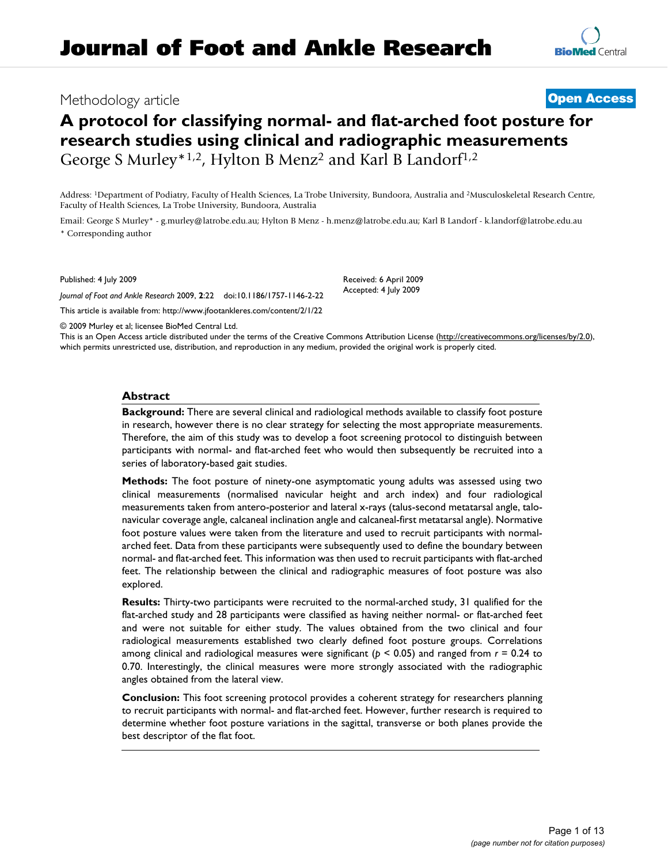# Methodology article **[Open Access](http://www.biomedcentral.com/info/about/charter/)**

# **A protocol for classifying normal- and flat-arched foot posture for research studies using clinical and radiographic measurements** George S Murley\*<sup>1,2</sup>, Hylton B Menz<sup>2</sup> and Karl B Landorf<sup>1,2</sup>

Address: 1Department of Podiatry, Faculty of Health Sciences, La Trobe University, Bundoora, Australia and 2Musculoskeletal Research Centre, Faculty of Health Sciences, La Trobe University, Bundoora, Australia

Email: George S Murley\* - g.murley@latrobe.edu.au; Hylton B Menz - h.menz@latrobe.edu.au; Karl B Landorf - k.landorf@latrobe.edu.au \* Corresponding author

Published: 4 July 2009

*Journal of Foot and Ankle Research* 2009, **2**:22 doi:10.1186/1757-1146-2-22

[This article is available from: http://www.jfootankleres.com/content/2/1/22](http://www.jfootankleres.com/content/2/1/22)

© 2009 Murley et al; licensee BioMed Central Ltd.

This is an Open Access article distributed under the terms of the Creative Commons Attribution License [\(http://creativecommons.org/licenses/by/2.0\)](http://creativecommons.org/licenses/by/2.0), which permits unrestricted use, distribution, and reproduction in any medium, provided the original work is properly cited.

### **Abstract**

**Background:** There are several clinical and radiological methods available to classify foot posture in research, however there is no clear strategy for selecting the most appropriate measurements. Therefore, the aim of this study was to develop a foot screening protocol to distinguish between participants with normal- and flat-arched feet who would then subsequently be recruited into a series of laboratory-based gait studies.

**Methods:** The foot posture of ninety-one asymptomatic young adults was assessed using two clinical measurements (normalised navicular height and arch index) and four radiological measurements taken from antero-posterior and lateral x-rays (talus-second metatarsal angle, talonavicular coverage angle, calcaneal inclination angle and calcaneal-first metatarsal angle). Normative foot posture values were taken from the literature and used to recruit participants with normalarched feet. Data from these participants were subsequently used to define the boundary between normal- and flat-arched feet. This information was then used to recruit participants with flat-arched feet. The relationship between the clinical and radiographic measures of foot posture was also explored.

**Results:** Thirty-two participants were recruited to the normal-arched study, 31 qualified for the flat-arched study and 28 participants were classified as having neither normal- or flat-arched feet and were not suitable for either study. The values obtained from the two clinical and four radiological measurements established two clearly defined foot posture groups. Correlations among clinical and radiological measures were significant (*p* < 0.05) and ranged from *r* = 0.24 to 0.70. Interestingly, the clinical measures were more strongly associated with the radiographic angles obtained from the lateral view.

**Conclusion:** This foot screening protocol provides a coherent strategy for researchers planning to recruit participants with normal- and flat-arched feet. However, further research is required to determine whether foot posture variations in the sagittal, transverse or both planes provide the best descriptor of the flat foot.

Received: 6 April 2009 Accepted: 4 July 2009

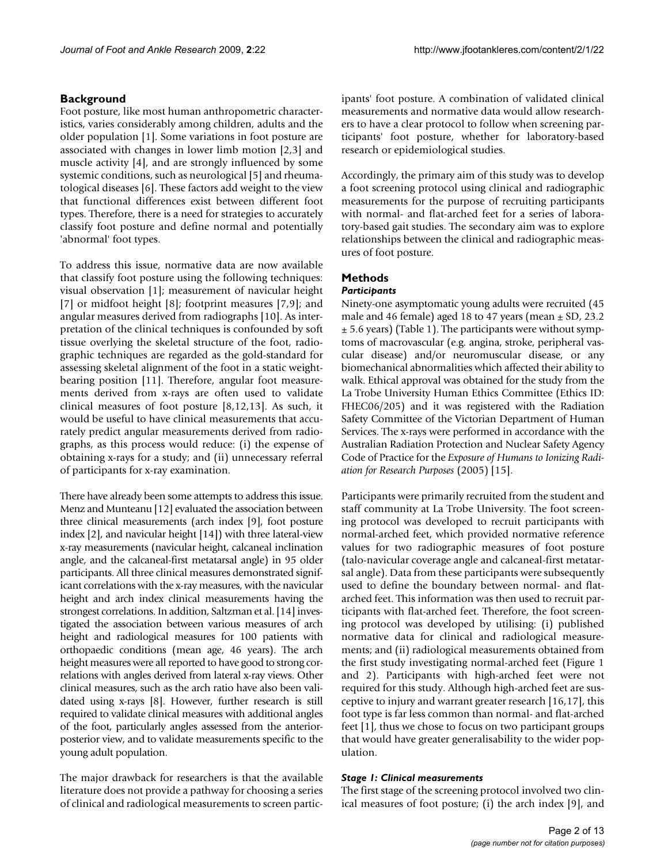# **Background**

Foot posture, like most human anthropometric characteristics, varies considerably among children, adults and the older population [1]. Some variations in foot posture are associated with changes in lower limb motion [2,3] and muscle activity [4], and are strongly influenced by some systemic conditions, such as neurological [5] and rheumatological diseases [6]. These factors add weight to the view that functional differences exist between different foot types. Therefore, there is a need for strategies to accurately classify foot posture and define normal and potentially 'abnormal' foot types.

To address this issue, normative data are now available that classify foot posture using the following techniques: visual observation [1]; measurement of navicular height [7] or midfoot height [8]; footprint measures [7,9]; and angular measures derived from radiographs [10]. As interpretation of the clinical techniques is confounded by soft tissue overlying the skeletal structure of the foot, radiographic techniques are regarded as the gold-standard for assessing skeletal alignment of the foot in a static weightbearing position [11]. Therefore, angular foot measurements derived from x-rays are often used to validate clinical measures of foot posture [8,12,13]. As such, it would be useful to have clinical measurements that accurately predict angular measurements derived from radiographs, as this process would reduce: (i) the expense of obtaining x-rays for a study; and (ii) unnecessary referral of participants for x-ray examination.

There have already been some attempts to address this issue. Menz and Munteanu [12] evaluated the association between three clinical measurements (arch index [9], foot posture index [2], and navicular height [14]) with three lateral-view x-ray measurements (navicular height, calcaneal inclination angle, and the calcaneal-first metatarsal angle) in 95 older participants. All three clinical measures demonstrated significant correlations with the x-ray measures, with the navicular height and arch index clinical measurements having the strongest correlations. In addition, Saltzman et al. [14] investigated the association between various measures of arch height and radiological measures for 100 patients with orthopaedic conditions (mean age, 46 years). The arch height measures were all reported to have good to strong correlations with angles derived from lateral x-ray views. Other clinical measures, such as the arch ratio have also been validated using x-rays [8]. However, further research is still required to validate clinical measures with additional angles of the foot, particularly angles assessed from the anteriorposterior view, and to validate measurements specific to the young adult population.

The major drawback for researchers is that the available literature does not provide a pathway for choosing a series of clinical and radiological measurements to screen participants' foot posture. A combination of validated clinical measurements and normative data would allow researchers to have a clear protocol to follow when screening participants' foot posture, whether for laboratory-based research or epidemiological studies.

Accordingly, the primary aim of this study was to develop a foot screening protocol using clinical and radiographic measurements for the purpose of recruiting participants with normal- and flat-arched feet for a series of laboratory-based gait studies. The secondary aim was to explore relationships between the clinical and radiographic measures of foot posture.

# **Methods**

# *Participants*

Ninety-one asymptomatic young adults were recruited (45 male and 46 female) aged 18 to 47 years (mean  $\pm$  SD, 23.2  $\pm$  5.6 years) (Table 1). The participants were without symptoms of macrovascular (e.g. angina, stroke, peripheral vascular disease) and/or neuromuscular disease, or any biomechanical abnormalities which affected their ability to walk. Ethical approval was obtained for the study from the La Trobe University Human Ethics Committee (Ethics ID: FHEC06/205) and it was registered with the Radiation Safety Committee of the Victorian Department of Human Services. The x-rays were performed in accordance with the Australian Radiation Protection and Nuclear Safety Agency Code of Practice for the *Exposure of Humans to Ionizing Radiation for Research Purposes* (2005) [15].

Participants were primarily recruited from the student and staff community at La Trobe University. The foot screening protocol was developed to recruit participants with normal-arched feet, which provided normative reference values for two radiographic measures of foot posture (talo-navicular coverage angle and calcaneal-first metatarsal angle). Data from these participants were subsequently used to define the boundary between normal- and flatarched feet. This information was then used to recruit participants with flat-arched feet. Therefore, the foot screening protocol was developed by utilising: (i) published normative data for clinical and radiological measurements; and (ii) radiological measurements obtained from the first study investigating normal-arched feet (Figure 1 and 2). Participants with high-arched feet were not required for this study. Although high-arched feet are susceptive to injury and warrant greater research [16,17], this foot type is far less common than normal- and flat-arched feet [1], thus we chose to focus on two participant groups that would have greater generalisability to the wider population.

# *Stage 1: Clinical measurements*

The first stage of the screening protocol involved two clinical measures of foot posture; (i) the arch index [9], and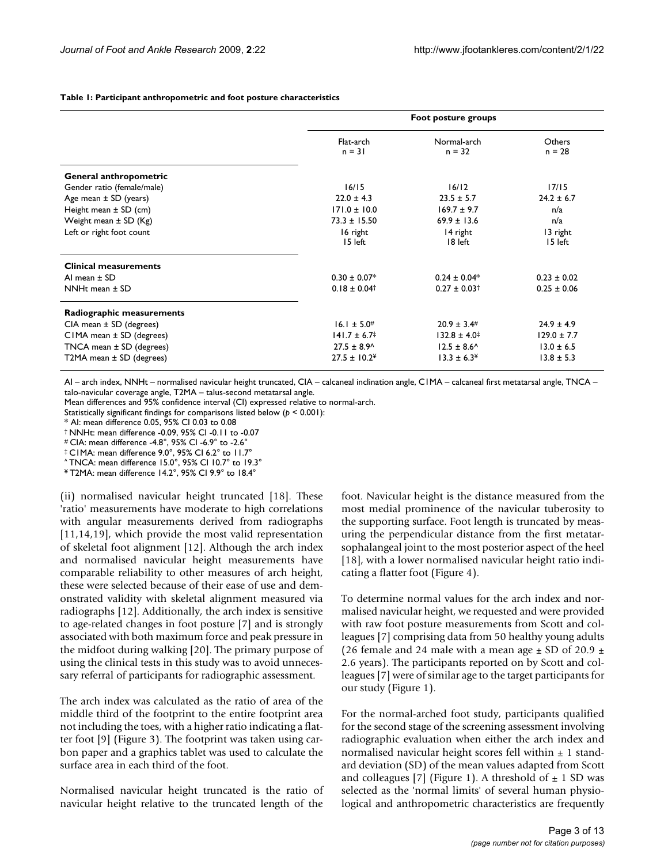**Table 1: Participant anthropometric and foot posture characteristics**

|                               | Foot posture groups          |                              |
|-------------------------------|------------------------------|------------------------------|
| Flat-arch<br>$n = 31$         | Normal-arch<br>$n = 32$      | Others<br>$n = 28$           |
|                               |                              |                              |
| 16/15                         | 16/12                        | 17/15                        |
| $22.0 \pm 4.3$                | $23.5 \pm 5.7$               | $24.2 \pm 6.7$<br>n/a<br>n/a |
| $171.0 \pm 10.0$              | $169.7 \pm 9.7$              |                              |
| $73.3 \pm 15.50$              | $69.9 \pm 13.6$              |                              |
| 16 right                      | 14 right                     | 13 right                     |
| 15 left                       | 18 left                      | 15 left                      |
|                               |                              |                              |
| $0.30 \pm 0.07*$              | $0.24 \pm 0.04*$             | $0.23 \pm 0.02$              |
| $0.18 \pm 0.04^+$             | $0.27 \pm 0.03$ <sup>†</sup> | $0.25 \pm 0.06$              |
|                               |                              |                              |
| $16.1 \pm 5.0^{#}$            | $20.9 \pm 3.4^{\#}$          | $24.9 \pm 4.9$               |
| $141.7 \pm 6.7^{\ddagger}$    | $132.8 \pm 4.0^{\ddagger}$   | $129.0 \pm 7.7$              |
| $27.5 \pm 8.9$ <sup>^</sup>   | $12.5 \pm 8.6$ <sup>^</sup>  | $13.0 \pm 6.5$               |
| $27.5 \pm 10.2^{\frac{1}{2}}$ | $13.3 \pm 6.3^{\circ}$       | $13.8 \pm 5.3$               |
|                               |                              |                              |

AI – arch index, NNHt – normalised navicular height truncated, CIA – calcaneal inclination angle, C1MA – calcaneal first metatarsal angle, TNCA – talo-navicular coverage angle, T2MA – talus-second metatarsal angle.

Mean differences and 95% confidence interval (CI) expressed relative to normal-arch.

Statistically significant findings for comparisons listed below (*p* < 0.001):

\* AI: mean difference 0.05, 95% CI 0.03 to 0.08

† NNHt: mean difference -0.09, 95% CI -0.11 to -0.07

# CIA: mean difference -4.8°, 95% CI -6.9° to -2.6°

‡ C1MA: mean difference 9.0°, 95% CI 6.2° to 11.7°

 $^{\circ}$  TNCA: mean difference 15.0°, 95% CI 10.7° to 19.3°

¥ T2MA: mean difference 14.2°, 95% CI 9.9° to 18.4°

(ii) normalised navicular height truncated [18]. These 'ratio' measurements have moderate to high correlations with angular measurements derived from radiographs [11,14,19], which provide the most valid representation of skeletal foot alignment [12]. Although the arch index and normalised navicular height measurements have comparable reliability to other measures of arch height, these were selected because of their ease of use and demonstrated validity with skeletal alignment measured via radiographs [12]. Additionally, the arch index is sensitive to age-related changes in foot posture [7] and is strongly associated with both maximum force and peak pressure in the midfoot during walking [20]. The primary purpose of using the clinical tests in this study was to avoid unnecessary referral of participants for radiographic assessment.

The arch index was calculated as the ratio of area of the middle third of the footprint to the entire footprint area not including the toes, with a higher ratio indicating a flatter foot [9] (Figure 3). The footprint was taken using carbon paper and a graphics tablet was used to calculate the surface area in each third of the foot.

Normalised navicular height truncated is the ratio of navicular height relative to the truncated length of the foot. Navicular height is the distance measured from the most medial prominence of the navicular tuberosity to the supporting surface. Foot length is truncated by measuring the perpendicular distance from the first metatarsophalangeal joint to the most posterior aspect of the heel [18], with a lower normalised navicular height ratio indicating a flatter foot (Figure 4).

To determine normal values for the arch index and normalised navicular height, we requested and were provided with raw foot posture measurements from Scott and colleagues [7] comprising data from 50 healthy young adults (26 female and 24 male with a mean age  $\pm$  SD of 20.9  $\pm$ 2.6 years). The participants reported on by Scott and colleagues [7] were of similar age to the target participants for our study (Figure 1).

For the normal-arched foot study, participants qualified for the second stage of the screening assessment involving radiographic evaluation when either the arch index and normalised navicular height scores fell within  $\pm$  1 standard deviation (SD) of the mean values adapted from Scott and colleagues [7] (Figure 1). A threshold of  $\pm$  1 SD was selected as the 'normal limits' of several human physiological and anthropometric characteristics are frequently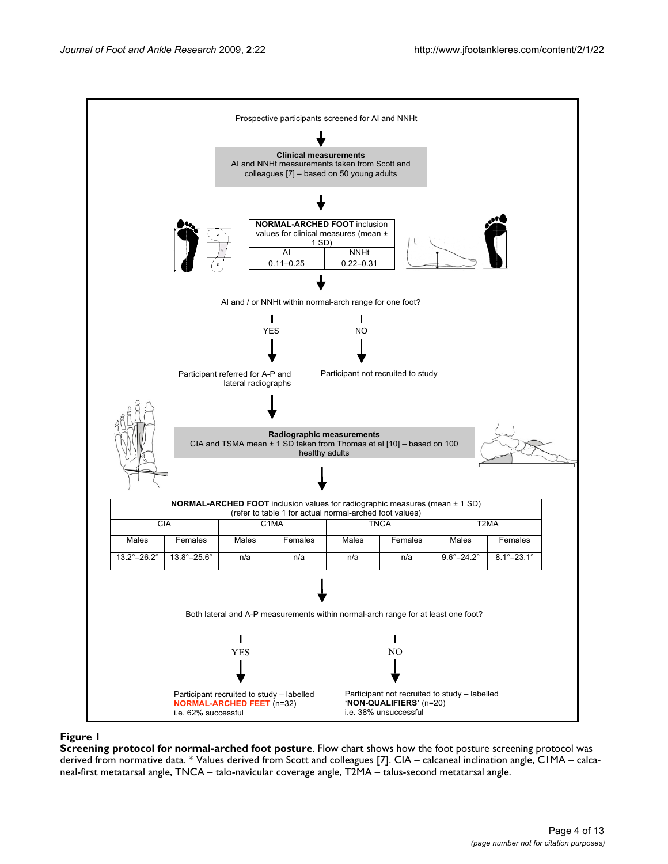

**Screening protocol for normal-arched foot posture**. Flow chart shows how the foot posture screening protocol was derived from normative data. \* Values derived from Scott and colleagues [7]. CIA – calcaneal inclination angle, C1MA – calcaneal-first metatarsal angle, TNCA – talo-navicular coverage angle, T2MA – talus-second metatarsal angle.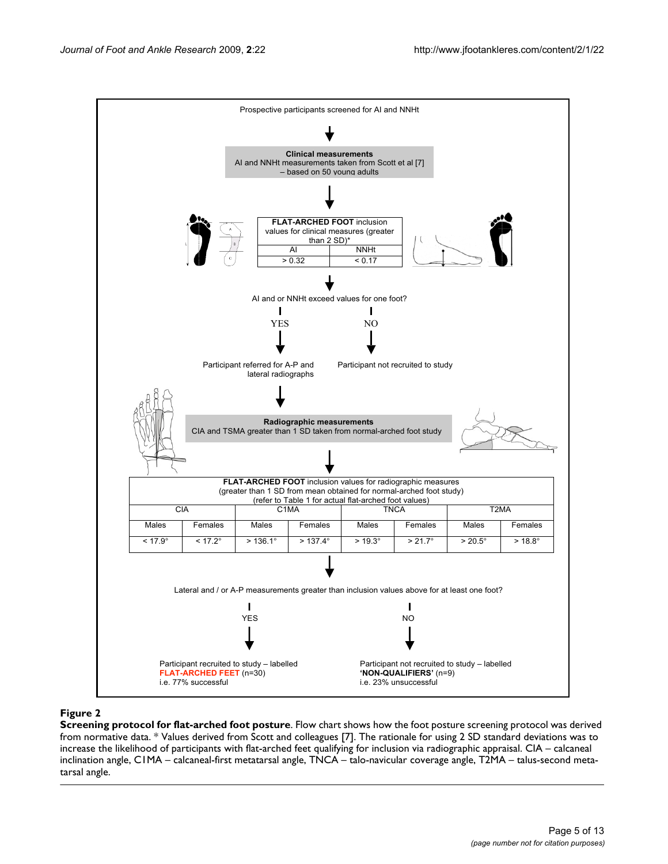

**Screening protocol for flat-arched foot posture**. Flow chart shows how the foot posture screening protocol was derived from normative data. \* Values derived from Scott and colleagues [7]. The rationale for using 2 SD standard deviations was to increase the likelihood of participants with flat-arched feet qualifying for inclusion via radiographic appraisal. CIA – calcaneal inclination angle, C1MA – calcaneal-first metatarsal angle, TNCA – talo-navicular coverage angle, T2MA – talus-second metatarsal angle.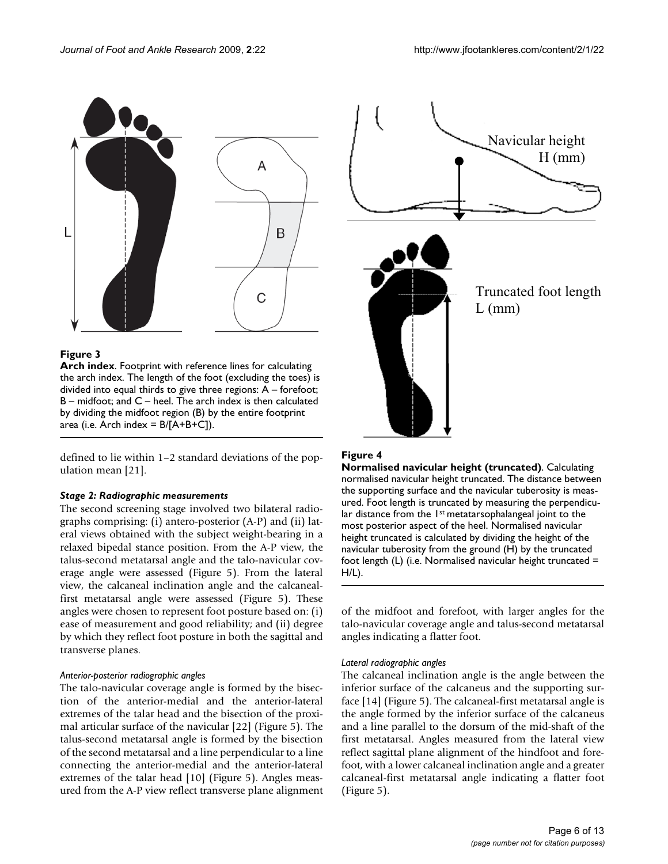

**Arch index**. Footprint with reference lines for calculating the arch index. The length of the foot (excluding the toes) is divided into equal thirds to give three regions: A – forefoot; B – midfoot; and C – heel. The arch index is then calculated by dividing the midfoot region (B) by the entire footprint area (i.e. Arch index =  $B/[A+B+C]$ ).

defined to lie within 1–2 standard deviations of the population mean [21].

#### *Stage 2: Radiographic measurements*

The second screening stage involved two bilateral radiographs comprising: (i) antero-posterior (A-P) and (ii) lateral views obtained with the subject weight-bearing in a relaxed bipedal stance position. From the A-P view, the talus-second metatarsal angle and the talo-navicular coverage angle were assessed (Figure 5). From the lateral view, the calcaneal inclination angle and the calcanealfirst metatarsal angle were assessed (Figure 5). These angles were chosen to represent foot posture based on: (i) ease of measurement and good reliability; and (ii) degree by which they reflect foot posture in both the sagittal and transverse planes.

#### *Anterior-posterior radiographic angles*

The talo-navicular coverage angle is formed by the bisection of the anterior-medial and the anterior-lateral extremes of the talar head and the bisection of the proximal articular surface of the navicular [22] (Figure 5). The talus-second metatarsal angle is formed by the bisection of the second metatarsal and a line perpendicular to a line connecting the anterior-medial and the anterior-lateral extremes of the talar head [10] (Figure 5). Angles measured from the A-P view reflect transverse plane alignment

### **Figure 4**

**Normalised navicular height (truncated)**. Calculating normalised navicular height truncated. The distance between the supporting surface and the navicular tuberosity is measured. Foot length is truncated by measuring the perpendicular distance from the 1<sup>st</sup> metatarsophalangeal joint to the most posterior aspect of the heel. Normalised navicular height truncated is calculated by dividing the height of the navicular tuberosity from the ground (H) by the truncated foot length (L) (i.e. Normalised navicular height truncated  $=$ H/L).

of the midfoot and forefoot, with larger angles for the talo-navicular coverage angle and talus-second metatarsal angles indicating a flatter foot.

#### *Lateral radiographic angles*

The calcaneal inclination angle is the angle between the inferior surface of the calcaneus and the supporting surface [14] (Figure 5). The calcaneal-first metatarsal angle is the angle formed by the inferior surface of the calcaneus and a line parallel to the dorsum of the mid-shaft of the first metatarsal. Angles measured from the lateral view reflect sagittal plane alignment of the hindfoot and forefoot, with a lower calcaneal inclination angle and a greater calcaneal-first metatarsal angle indicating a flatter foot (Figure 5).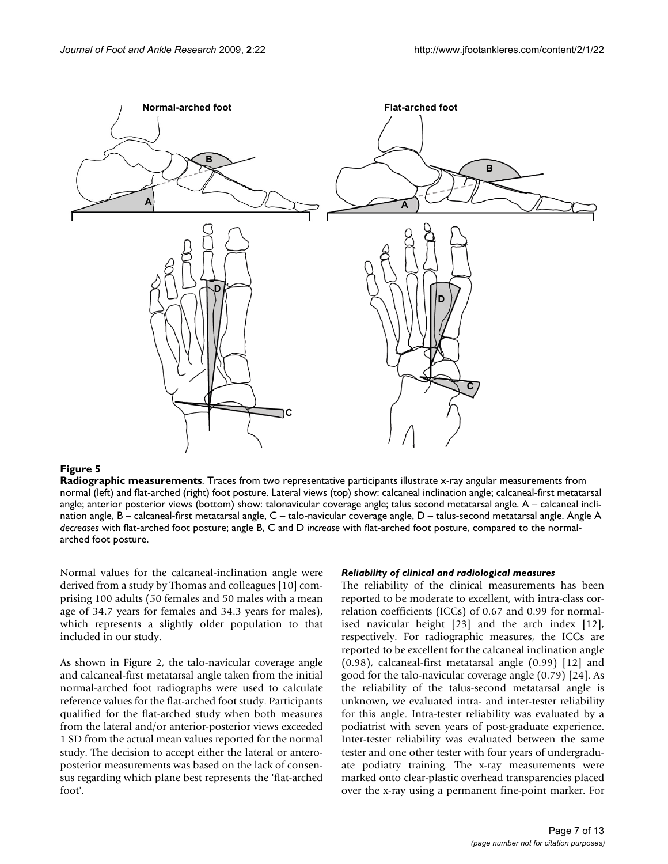

**Radiographic measurements**. Traces from two representative participants illustrate x-ray angular measurements from normal (left) and flat-arched (right) foot posture. Lateral views (top) show: calcaneal inclination angle; calcaneal-first metatarsal angle; anterior posterior views (bottom) show: talonavicular coverage angle; talus second metatarsal angle. A – calcaneal inclination angle, B – calcaneal-first metatarsal angle, C – talo-navicular coverage angle, D – talus-second metatarsal angle. Angle A *decreases* with flat-arched foot posture; angle B, C and D *increase* with flat-arched foot posture, compared to the normalarched foot posture.

Normal values for the calcaneal-inclination angle were derived from a study by Thomas and colleagues [10] comprising 100 adults (50 females and 50 males with a mean age of 34.7 years for females and 34.3 years for males), which represents a slightly older population to that included in our study.

As shown in Figure 2, the talo-navicular coverage angle and calcaneal-first metatarsal angle taken from the initial normal-arched foot radiographs were used to calculate reference values for the flat-arched foot study. Participants qualified for the flat-arched study when both measures from the lateral and/or anterior-posterior views exceeded 1 SD from the actual mean values reported for the normal study. The decision to accept either the lateral or anteroposterior measurements was based on the lack of consensus regarding which plane best represents the 'flat-arched foot'.

#### *Reliability of clinical and radiological measures*

The reliability of the clinical measurements has been reported to be moderate to excellent, with intra-class correlation coefficients (ICCs) of 0.67 and 0.99 for normalised navicular height [23] and the arch index [12], respectively. For radiographic measures, the ICCs are reported to be excellent for the calcaneal inclination angle (0.98), calcaneal-first metatarsal angle (0.99) [12] and good for the talo-navicular coverage angle (0.79) [24]. As the reliability of the talus-second metatarsal angle is unknown, we evaluated intra- and inter-tester reliability for this angle. Intra-tester reliability was evaluated by a podiatrist with seven years of post-graduate experience. Inter-tester reliability was evaluated between the same tester and one other tester with four years of undergraduate podiatry training. The x-ray measurements were marked onto clear-plastic overhead transparencies placed over the x-ray using a permanent fine-point marker. For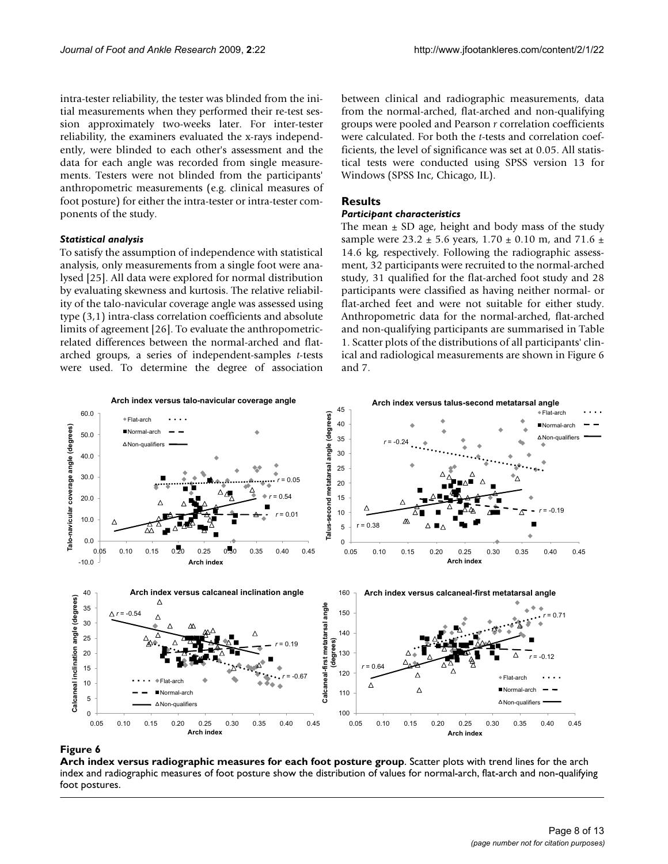intra-tester reliability, the tester was blinded from the initial measurements when they performed their re-test session approximately two-weeks later. For inter-tester reliability, the examiners evaluated the x-rays independently, were blinded to each other's assessment and the data for each angle was recorded from single measurements. Testers were not blinded from the participants' anthropometric measurements (e.g. clinical measures of foot posture) for either the intra-tester or intra-tester components of the study.

#### *Statistical analysis*

To satisfy the assumption of independence with statistical analysis, only measurements from a single foot were analysed [25]. All data were explored for normal distribution by evaluating skewness and kurtosis. The relative reliability of the talo-navicular coverage angle was assessed using type (3,1) intra-class correlation coefficients and absolute limits of agreement [26]. To evaluate the anthropometricrelated differences between the normal-arched and flatarched groups, a series of independent-samples *t*-tests were used. To determine the degree of association between clinical and radiographic measurements, data from the normal-arched, flat-arched and non-qualifying groups were pooled and Pearson *r* correlation coefficients were calculated. For both the *t*-tests and correlation coefficients, the level of significance was set at 0.05. All statistical tests were conducted using SPSS version 13 for Windows (SPSS Inc, Chicago, IL).

# **Results**

## *Participant characteristics*

The mean  $\pm$  SD age, height and body mass of the study sample were 23.2  $\pm$  5.6 years, 1.70  $\pm$  0.10 m, and 71.6  $\pm$ 14.6 kg, respectively. Following the radiographic assessment, 32 participants were recruited to the normal-arched study, 31 qualified for the flat-arched foot study and 28 participants were classified as having neither normal- or flat-arched feet and were not suitable for either study. Anthropometric data for the normal-arched, flat-arched and non-qualifying participants are summarised in Table 1. Scatter plots of the distributions of all participants' clinical and radiological measurements are shown in Figure 6 and 7.



### **Figure 6**

**Arch index versus radiographic measures for each foot posture group**. Scatter plots with trend lines for the arch index and radiographic measures of foot posture show the distribution of values for normal-arch, flat-arch and non-qualifying foot postures.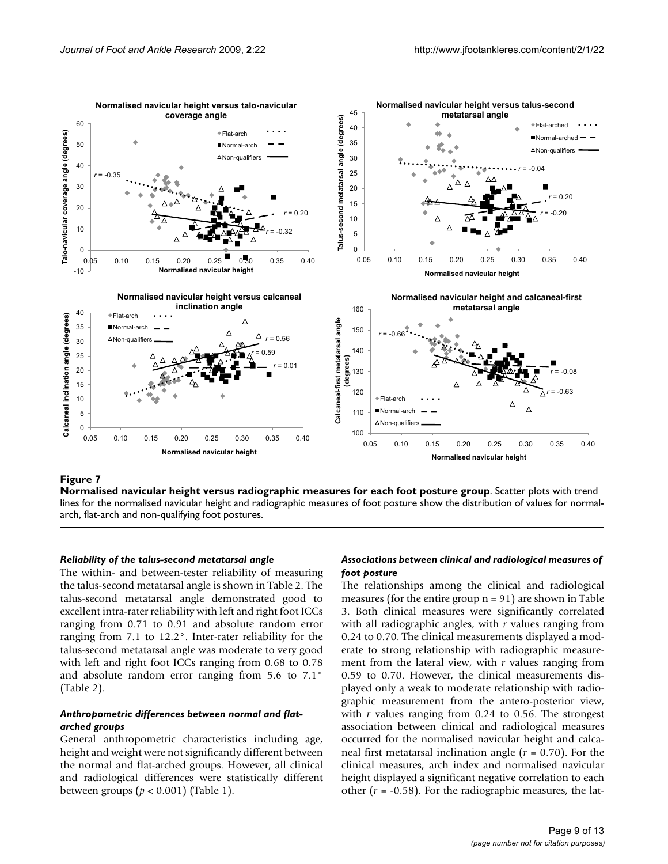

### $N$ Figure 7 rsus radiographic measures for each foot posture group  $\sim$

**Normalised navicular height versus radiographic measures for each foot posture group**. Scatter plots with trend lines for the normalised navicular height and radiographic measures of foot posture show the distribution of values for normalarch, flat-arch and non-qualifying foot postures.

#### *Reliability of the talus-second metatarsal angle*

The within- and between-tester reliability of measuring the talus-second metatarsal angle is shown in Table 2. The talus-second metatarsal angle demonstrated good to excellent intra-rater reliability with left and right foot ICCs ranging from 0.71 to 0.91 and absolute random error ranging from 7.1 to 12.2°. Inter-rater reliability for the talus-second metatarsal angle was moderate to very good with left and right foot ICCs ranging from 0.68 to 0.78 and absolute random error ranging from 5.6 to 7.1° (Table 2).

### *Anthropometric differences between normal and flatarched groups*

General anthropometric characteristics including age, height and weight were not significantly different between the normal and flat-arched groups. However, all clinical and radiological differences were statistically different between groups (*p* < 0.001) (Table 1).

## *Associations between clinical and radiological measures of foot posture*

The relationships among the clinical and radiological measures (for the entire group  $n = 91$ ) are shown in Table 3. Both clinical measures were significantly correlated with all radiographic angles, with *r* values ranging from 0.24 to 0.70. The clinical measurements displayed a moderate to strong relationship with radiographic measurement from the lateral view, with *r* values ranging from 0.59 to 0.70. However, the clinical measurements displayed only a weak to moderate relationship with radiographic measurement from the antero-posterior view, with *r* values ranging from 0.24 to 0.56. The strongest association between clinical and radiological measures occurred for the normalised navicular height and calcaneal first metatarsal inclination angle (*r* = 0.70). For the clinical measures, arch index and normalised navicular height displayed a significant negative correlation to each other  $(r = -0.58)$ . For the radiographic measures, the lat-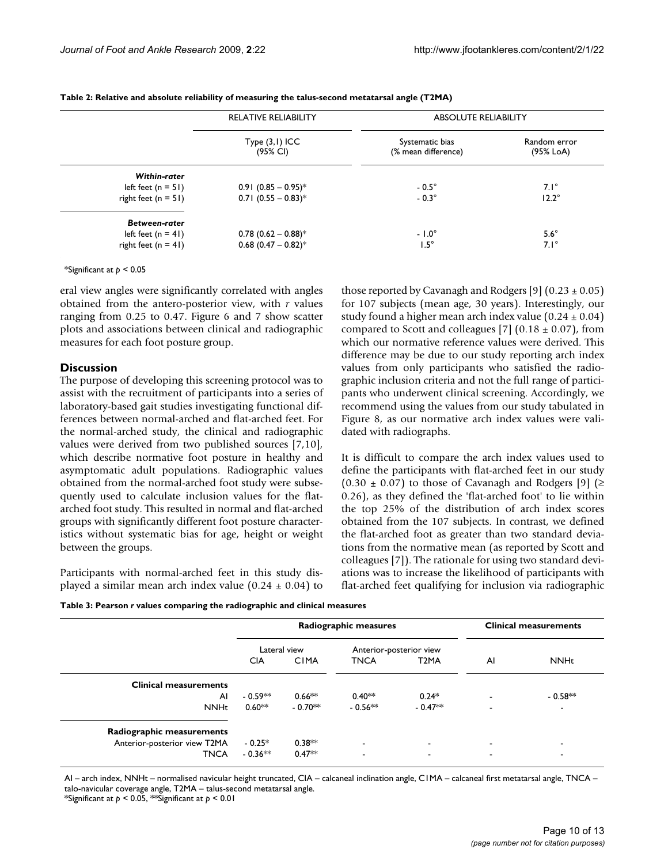|                       | <b>RELATIVE RELIABILITY</b>       | <b>ABSOLUTE RELIABILITY</b>            |                           |  |
|-----------------------|-----------------------------------|----------------------------------------|---------------------------|--|
|                       | $Type (3,1)$ ICC<br>(95% CI)      | Systematic bias<br>(% mean difference) | Random error<br>(95% LoA) |  |
| Within-rater          |                                   |                                        |                           |  |
| left feet $(n = 51)$  | $0.91$ (0.85 - 0.95) <sup>*</sup> | $-0.5^\circ$                           | $7.1^\circ$               |  |
| right feet $(n = 51)$ | $0.71$ (0.55 - 0.83) <sup>*</sup> | $-0.3^\circ$                           | $12.2^\circ$              |  |
| <b>Between-rater</b>  |                                   |                                        |                           |  |
| left feet $(n = 41)$  | $0.78$ (0.62 - 0.88)*             | $-1.0^{\circ}$                         | $5.6^\circ$               |  |
| right feet $(n = 41)$ | $0.68$ (0.47 - 0.82) <sup>*</sup> | $1.5^\circ$                            | $7.1^\circ$               |  |

**Table 2: Relative and absolute reliability of measuring the talus-second metatarsal angle (T2MA)**

\*Significant at *p* < 0.05

eral view angles were significantly correlated with angles obtained from the antero-posterior view, with *r* values ranging from 0.25 to 0.47. Figure 6 and 7 show scatter plots and associations between clinical and radiographic measures for each foot posture group.

### **Discussion**

The purpose of developing this screening protocol was to assist with the recruitment of participants into a series of laboratory-based gait studies investigating functional differences between normal-arched and flat-arched feet. For the normal-arched study, the clinical and radiographic values were derived from two published sources [7,10], which describe normative foot posture in healthy and asymptomatic adult populations. Radiographic values obtained from the normal-arched foot study were subsequently used to calculate inclusion values for the flatarched foot study. This resulted in normal and flat-arched groups with significantly different foot posture characteristics without systematic bias for age, height or weight between the groups.

Participants with normal-arched feet in this study displayed a similar mean arch index value  $(0.24 \pm 0.04)$  to those reported by Cavanagh and Rodgers [9]  $(0.23 \pm 0.05)$ for 107 subjects (mean age, 30 years). Interestingly, our study found a higher mean arch index value  $(0.24 \pm 0.04)$ compared to Scott and colleagues [7]  $(0.18 \pm 0.07)$ , from which our normative reference values were derived. This difference may be due to our study reporting arch index values from only participants who satisfied the radiographic inclusion criteria and not the full range of participants who underwent clinical screening. Accordingly, we recommend using the values from our study tabulated in Figure 8, as our normative arch index values were validated with radiographs.

It is difficult to compare the arch index values used to define the participants with flat-arched feet in our study  $(0.30 \pm 0.07)$  to those of Cavanagh and Rodgers [9] ( $\geq$ 0.26), as they defined the 'flat-arched foot' to lie within the top 25% of the distribution of arch index scores obtained from the 107 subjects. In contrast, we defined the flat-arched foot as greater than two standard deviations from the normative mean (as reported by Scott and colleagues [7]). The rationale for using two standard deviations was to increase the likelihood of participants with flat-arched feet qualifying for inclusion via radiographic

| Table 3: Pearson r values comparing the radiographic and clinical measures |  |  |  |
|----------------------------------------------------------------------------|--|--|--|
|----------------------------------------------------------------------------|--|--|--|

|                              | Radiographic measures |             |                          | <b>Clinical measurements</b> |                          |                          |
|------------------------------|-----------------------|-------------|--------------------------|------------------------------|--------------------------|--------------------------|
|                              | Lateral view          |             | Anterior-posterior view  |                              |                          |                          |
|                              | <b>CIA</b>            | <b>CIMA</b> | <b>TNCA</b>              | T <sub>2</sub> MA            | AI                       | <b>NNHt</b>              |
| <b>Clinical measurements</b> |                       |             |                          |                              |                          |                          |
| AI                           | - 0.59 $**$           | $0.66***$   | $0.40**$                 | $0.24*$                      |                          | $-0.58**$                |
| <b>NNHt</b>                  | $0.60**$              | $-0.70**$   | $-0.56**$                | $-0.47**$                    | ٠                        | $\overline{\phantom{0}}$ |
| Radiographic measurements    |                       |             |                          |                              |                          |                          |
| Anterior-posterior view T2MA | $-0.25*$              | $0.38***$   | $\overline{\phantom{a}}$ | ۰.                           | $\overline{\phantom{a}}$ | $\blacksquare$           |
| <b>TNCA</b>                  | $-0.36**$             | $0.47**$    | $\overline{\phantom{a}}$ | $\overline{\phantom{a}}$     | -                        | -                        |

AI – arch index, NNHt – normalised navicular height truncated, CIA – calcaneal inclination angle, C1MA – calcaneal first metatarsal angle, TNCA – talo-navicular coverage angle, T2MA – talus-second metatarsal angle.

\*Significant at *p* < 0.05, \*\*Significant at *p* < 0.01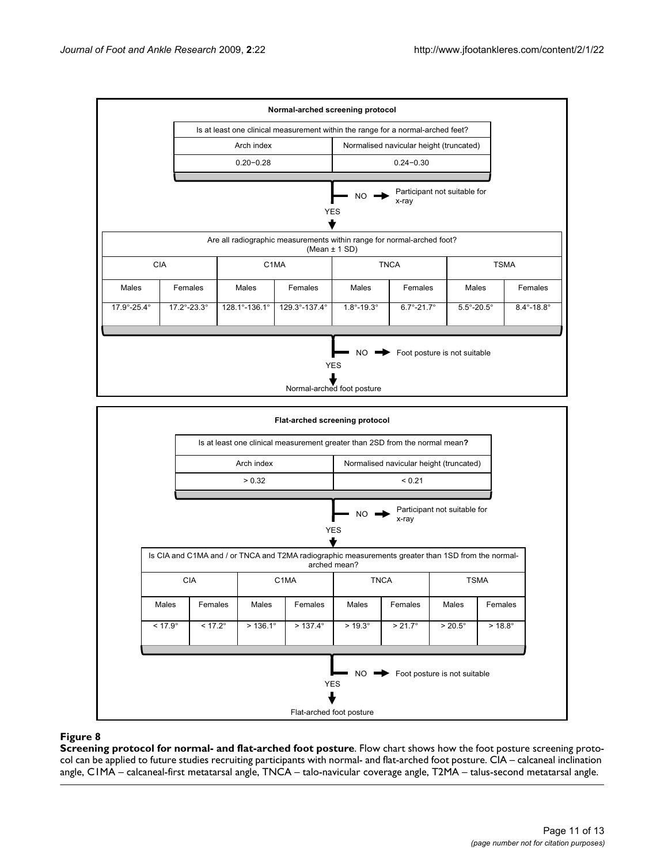



**Screening protocol for normal- and flat-arched foot posture**. Flow chart shows how the foot posture screening protocol can be applied to future studies recruiting participants with normal- and flat-arched foot posture. CIA – calcaneal inclination angle, C1MA – calcaneal-first metatarsal angle, TNCA – talo-navicular coverage angle, T2MA – talus-second metatarsal angle.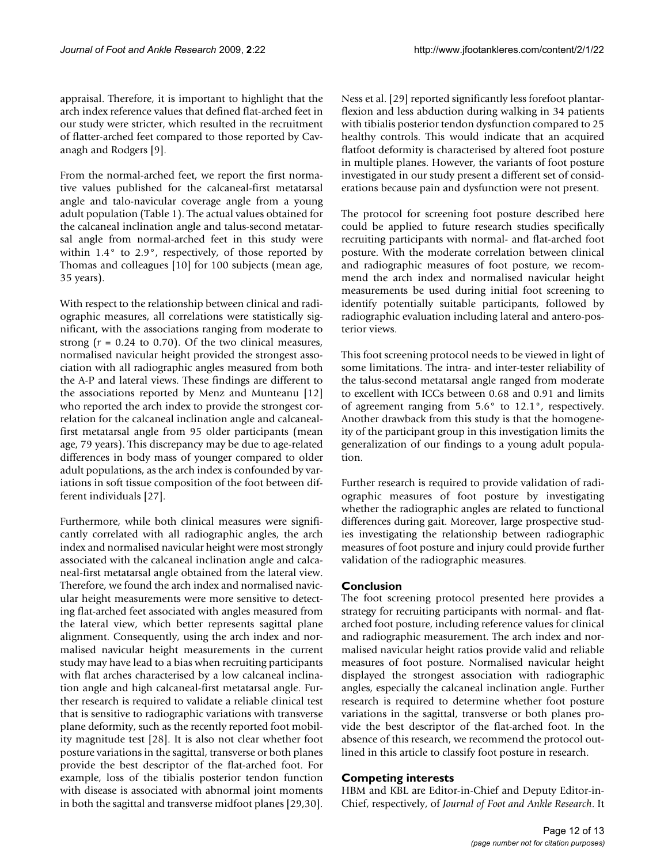appraisal. Therefore, it is important to highlight that the arch index reference values that defined flat-arched feet in our study were stricter, which resulted in the recruitment of flatter-arched feet compared to those reported by Cavanagh and Rodgers [9].

From the normal-arched feet, we report the first normative values published for the calcaneal-first metatarsal angle and talo-navicular coverage angle from a young adult population (Table 1). The actual values obtained for the calcaneal inclination angle and talus-second metatarsal angle from normal-arched feet in this study were within 1.4° to 2.9°, respectively, of those reported by Thomas and colleagues [10] for 100 subjects (mean age, 35 years).

With respect to the relationship between clinical and radiographic measures, all correlations were statistically significant, with the associations ranging from moderate to strong  $(r = 0.24$  to 0.70). Of the two clinical measures, normalised navicular height provided the strongest association with all radiographic angles measured from both the A-P and lateral views. These findings are different to the associations reported by Menz and Munteanu [12] who reported the arch index to provide the strongest correlation for the calcaneal inclination angle and calcanealfirst metatarsal angle from 95 older participants (mean age, 79 years). This discrepancy may be due to age-related differences in body mass of younger compared to older adult populations, as the arch index is confounded by variations in soft tissue composition of the foot between different individuals [27].

Furthermore, while both clinical measures were significantly correlated with all radiographic angles, the arch index and normalised navicular height were most strongly associated with the calcaneal inclination angle and calcaneal-first metatarsal angle obtained from the lateral view. Therefore, we found the arch index and normalised navicular height measurements were more sensitive to detecting flat-arched feet associated with angles measured from the lateral view, which better represents sagittal plane alignment. Consequently, using the arch index and normalised navicular height measurements in the current study may have lead to a bias when recruiting participants with flat arches characterised by a low calcaneal inclination angle and high calcaneal-first metatarsal angle. Further research is required to validate a reliable clinical test that is sensitive to radiographic variations with transverse plane deformity, such as the recently reported foot mobility magnitude test [28]. It is also not clear whether foot posture variations in the sagittal, transverse or both planes provide the best descriptor of the flat-arched foot. For example, loss of the tibialis posterior tendon function with disease is associated with abnormal joint moments in both the sagittal and transverse midfoot planes [29,30].

Ness et al. [29] reported significantly less forefoot plantarflexion and less abduction during walking in 34 patients with tibialis posterior tendon dysfunction compared to 25 healthy controls. This would indicate that an acquired flatfoot deformity is characterised by altered foot posture in multiple planes. However, the variants of foot posture investigated in our study present a different set of considerations because pain and dysfunction were not present.

The protocol for screening foot posture described here could be applied to future research studies specifically recruiting participants with normal- and flat-arched foot posture. With the moderate correlation between clinical and radiographic measures of foot posture, we recommend the arch index and normalised navicular height measurements be used during initial foot screening to identify potentially suitable participants, followed by radiographic evaluation including lateral and antero-posterior views.

This foot screening protocol needs to be viewed in light of some limitations. The intra- and inter-tester reliability of the talus-second metatarsal angle ranged from moderate to excellent with ICCs between 0.68 and 0.91 and limits of agreement ranging from 5.6° to 12.1°, respectively. Another drawback from this study is that the homogeneity of the participant group in this investigation limits the generalization of our findings to a young adult population.

Further research is required to provide validation of radiographic measures of foot posture by investigating whether the radiographic angles are related to functional differences during gait. Moreover, large prospective studies investigating the relationship between radiographic measures of foot posture and injury could provide further validation of the radiographic measures.

# **Conclusion**

The foot screening protocol presented here provides a strategy for recruiting participants with normal- and flatarched foot posture, including reference values for clinical and radiographic measurement. The arch index and normalised navicular height ratios provide valid and reliable measures of foot posture. Normalised navicular height displayed the strongest association with radiographic angles, especially the calcaneal inclination angle. Further research is required to determine whether foot posture variations in the sagittal, transverse or both planes provide the best descriptor of the flat-arched foot. In the absence of this research, we recommend the protocol outlined in this article to classify foot posture in research.

### **Competing interests**

HBM and KBL are Editor-in-Chief and Deputy Editor-in-Chief, respectively, of *Journal of Foot and Ankle Research*. It